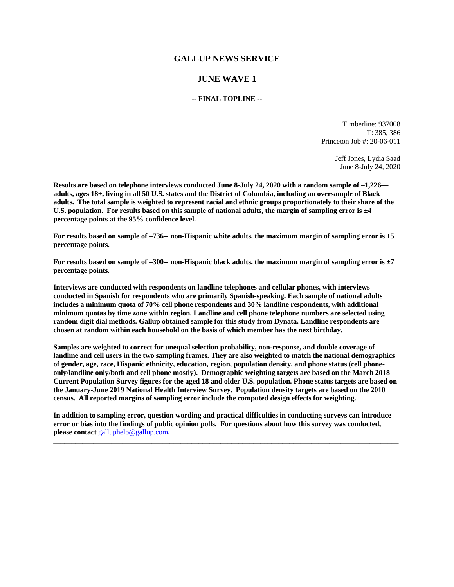# **GALLUP NEWS SERVICE**

# **JUNE WAVE 1**

## **-- FINAL TOPLINE --**

Timberline: 937008 T: 385, 386 Princeton Job #: 20-06-011

> Jeff Jones, Lydia Saad June 8-July 24, 2020

**Results are based on telephone interviews conducted June 8-July 24, 2020 with a random sample of –1,226 adults, ages 18+, living in all 50 U.S. states and the District of Columbia, including an oversample of Black adults. The total sample is weighted to represent racial and ethnic groups proportionately to their share of the U.S. population. For results based on this sample of national adults, the margin of sampling error is ±4 percentage points at the 95% confidence level.** 

**For results based on sample of –736-- non-Hispanic white adults, the maximum margin of sampling error is ±5 percentage points.**

**For results based on sample of –300-- non-Hispanic black adults, the maximum margin of sampling error is ±7 percentage points.**

**Interviews are conducted with respondents on landline telephones and cellular phones, with interviews conducted in Spanish for respondents who are primarily Spanish-speaking. Each sample of national adults includes a minimum quota of 70% cell phone respondents and 30% landline respondents, with additional minimum quotas by time zone within region. Landline and cell phone telephone numbers are selected using random digit dial methods. Gallup obtained sample for this study from Dynata. Landline respondents are chosen at random within each household on the basis of which member has the next birthday.**

**Samples are weighted to correct for unequal selection probability, non-response, and double coverage of landline and cell users in the two sampling frames. They are also weighted to match the national demographics of gender, age, race, Hispanic ethnicity, education, region, population density, and phone status (cell phoneonly/landline only/both and cell phone mostly). Demographic weighting targets are based on the March 2018 Current Population Survey figures for the aged 18 and older U.S. population. Phone status targets are based on the January-June 2019 National Health Interview Survey. Population density targets are based on the 2010 census. All reported margins of sampling error include the computed design effects for weighting.** 

**In addition to sampling error, question wording and practical difficulties in conducting surveys can introduce error or bias into the findings of public opinion polls. For questions about how this survey was conducted, please contact** [galluphelp@gallup.com](mailto:galluphelp@gallup.com)**.**

 $\_$  ,  $\_$  ,  $\_$  ,  $\_$  ,  $\_$  ,  $\_$  ,  $\_$  ,  $\_$  ,  $\_$  ,  $\_$  ,  $\_$  ,  $\_$  ,  $\_$  ,  $\_$  ,  $\_$  ,  $\_$  ,  $\_$  ,  $\_$  ,  $\_$  ,  $\_$  ,  $\_$  ,  $\_$  ,  $\_$  ,  $\_$  ,  $\_$  ,  $\_$  ,  $\_$  ,  $\_$  ,  $\_$  ,  $\_$  ,  $\_$  ,  $\_$  ,  $\_$  ,  $\_$  ,  $\_$  ,  $\_$  ,  $\_$  ,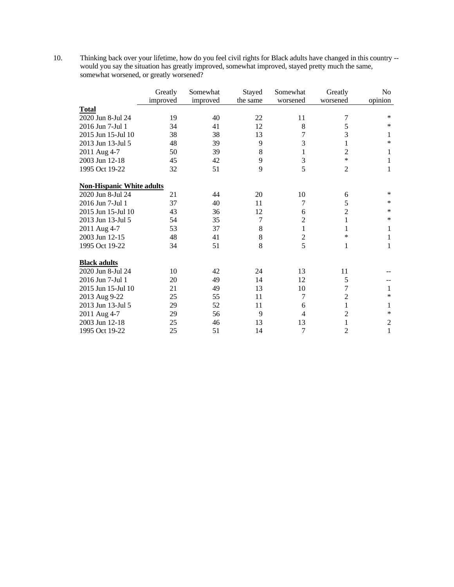10. Thinking back over your lifetime, how do you feel civil rights for Black adults have changed in this country - would you say the situation has greatly improved, somewhat improved, stayed pretty much the same, somewhat worsened, or greatly worsened?

|                                  | Greatly<br>improved | Somewhat<br>improved | Stayed<br>the same | Somewhat<br>worsened | Greatly<br>worsened | N <sub>o</sub><br>opinion |
|----------------------------------|---------------------|----------------------|--------------------|----------------------|---------------------|---------------------------|
| <b>Total</b>                     |                     |                      |                    |                      |                     |                           |
| 2020 Jun 8-Jul 24                | 19                  | 40                   | 22                 | 11                   | 7                   | $\ast$                    |
| 2016 Jun 7-Jul 1                 | 34                  | 41                   | 12                 | 8                    | 5                   | *                         |
| 2015 Jun 15-Jul 10               | 38                  | 38                   | 13                 | 7                    | 3                   | 1                         |
| 2013 Jun 13-Jul 5                | 48                  | 39                   | 9                  | 3                    | 1                   | *                         |
| 2011 Aug 4-7                     | 50                  | 39                   | 8                  | 1                    | $\overline{2}$      | 1                         |
| 2003 Jun 12-18                   | 45                  | 42                   | 9                  | 3                    | $\ast$              | $\mathbf{1}$              |
| 1995 Oct 19-22                   | 32                  | 51                   | 9                  | 5                    | $\overline{2}$      | 1                         |
| <b>Non-Hispanic White adults</b> |                     |                      |                    |                      |                     |                           |
| 2020 Jun 8-Jul 24                | 21                  | 44                   | 20                 | 10                   | 6                   | *                         |
| 2016 Jun 7-Jul 1                 | 37                  | 40                   | 11                 | 7                    | 5                   | $\ast$                    |
| 2015 Jun 15-Jul 10               | 43                  | 36                   | 12                 | 6                    | $\overline{2}$      | *                         |
| 2013 Jun 13-Jul 5                | 54                  | 35                   | 7                  | $\overline{c}$       | 1                   | *                         |
| 2011 Aug 4-7                     | 53                  | 37                   | 8                  | 1                    | 1                   | 1                         |
| 2003 Jun 12-15                   | 48                  | 41                   | 8                  | $\overline{c}$       | $\ast$              | 1                         |
| 1995 Oct 19-22                   | 34                  | 51                   | 8                  | 5                    | $\mathbf{1}$        | 1                         |
| <b>Black adults</b>              |                     |                      |                    |                      |                     |                           |
| 2020 Jun 8-Jul 24                | 10                  | 42                   | 24                 | 13                   | 11                  |                           |
| 2016 Jun 7-Jul 1                 | 20                  | 49                   | 14                 | 12                   | 5                   |                           |
| 2015 Jun 15-Jul 10               | 21                  | 49                   | 13                 | 10                   | 7                   | 1                         |
| 2013 Aug 9-22                    | 25                  | 55                   | 11                 | 7                    | $\overline{2}$      | *                         |
| 2013 Jun 13-Jul 5                | 29                  | 52                   | 11                 | 6                    | 1                   | 1                         |
| 2011 Aug 4-7                     | 29                  | 56                   | 9                  | $\overline{4}$       | $\overline{2}$      | $\ast$                    |
| 2003 Jun 12-18                   | 25                  | 46                   | 13                 | 13                   | 1                   | $\mathfrak{2}$            |
| 1995 Oct 19-22                   | 25                  | 51                   | 14                 | 7                    | 2                   | $\mathbf{1}$              |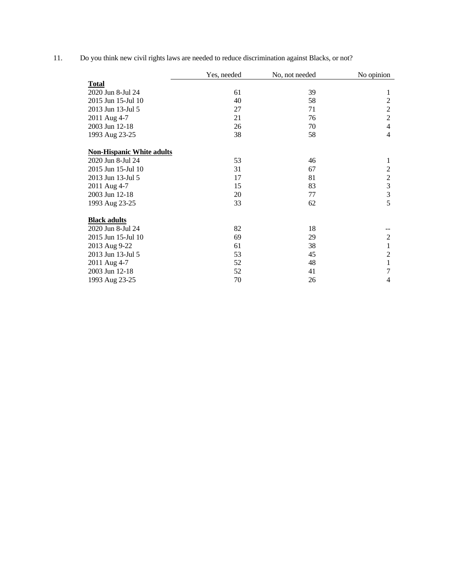11. Do you think new civil rights laws are needed to reduce discrimination against Blacks, or not?

|                                  | Yes, needed | No, not needed | No opinion     |
|----------------------------------|-------------|----------------|----------------|
| <b>Total</b>                     |             |                |                |
| 2020 Jun 8-Jul 24                | 61          | 39             | 1              |
| 2015 Jun 15-Jul 10               | 40          | 58             | $\overline{c}$ |
| 2013 Jun 13-Jul 5                | 27          | 71             | $\overline{2}$ |
| 2011 Aug 4-7                     | 21          | 76             | $\overline{2}$ |
| 2003 Jun 12-18                   | 26          | 70             | $\overline{4}$ |
| 1993 Aug 23-25                   | 38          | 58             | 4              |
| <b>Non-Hispanic White adults</b> |             |                |                |
| 2020 Jun 8-Jul 24                | 53          | 46             | 1              |
| 2015 Jun 15-Jul 10               | 31          | 67             | $\overline{c}$ |
| 2013 Jun 13-Jul 5                | 17          | 81             | $\overline{2}$ |
| 2011 Aug 4-7                     | 15          | 83             | 3              |
| 2003 Jun 12-18                   | 20          | 77             | 3              |
| 1993 Aug 23-25                   | 33          | 62             | 5              |
| <b>Black adults</b>              |             |                |                |
| 2020 Jun 8-Jul 24                | 82          | 18             |                |
| 2015 Jun 15-Jul 10               | 69          | 29             | $\mathfrak{2}$ |
| 2013 Aug 9-22                    | 61          | 38             | 1              |
| 2013 Jun 13-Jul 5                | 53          | 45             | $\overline{c}$ |
| 2011 Aug 4-7                     | 52          | 48             | 1              |
| 2003 Jun 12-18                   | 52          | 41             | 7              |
| 1993 Aug 23-25                   | 70          | 26             | 4              |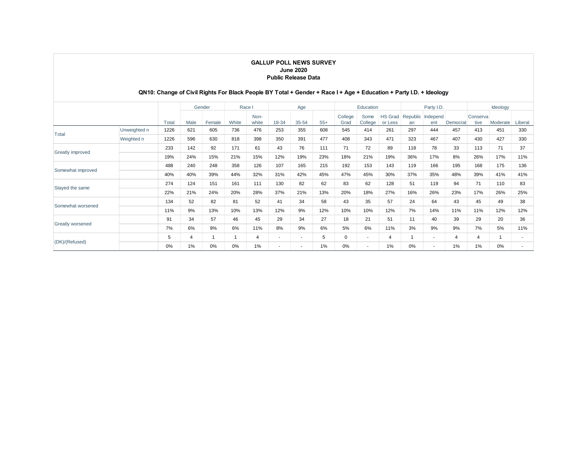#### **GALLUP POLL NEWS SURVEY June 2020 Public Release Data**

## **QN10: Change of Civil Rights For Black People BY Total + Gender + Race I + Age + Education + Party I.D. + Ideology**

|                         |              |       | Gender         |        | Race           |               | Age                      |                          |       | Education       |                          |                           | Party I.D. |                          |          | Ideology         |                |         |
|-------------------------|--------------|-------|----------------|--------|----------------|---------------|--------------------------|--------------------------|-------|-----------------|--------------------------|---------------------------|------------|--------------------------|----------|------------------|----------------|---------|
|                         |              | Total | Male           | Female | White          | Non-<br>white | 18-34                    | 35-54                    | $55+$ | College<br>Grad | Some<br>College          | <b>HS Grad</b><br>or Less | an         | Republic Independ<br>ent | Democrat | Conserva<br>tive | Moderate       | Liberal |
|                         | Unweighted n | 1226  | 621            | 605    | 736            | 476           | 253                      | 355                      | 608   | 545             | 414                      | 261                       | 297        | 444                      | 457      | 413              | 451            | 330     |
| Total                   | Weighted n   | 1226  | 596            | 630    | 818            | 398           | 350                      | 391                      | 477   | 408             | 343                      | 471                       | 323        | 467                      | 407      | 430              | 427            | 330     |
| <b>Greatly improved</b> |              | 233   | 142            | 92     | 171            | 61            | 43                       | 76                       | 111   | 71              | 72                       | 89                        | 118        | 78                       | 33       | 113              | 71             | 37      |
|                         |              | 19%   | 24%            | 15%    | 21%            | 15%           | 12%                      | 19%                      | 23%   | 18%             | 21%                      | 19%                       | 36%        | 17%                      | 8%       | 26%              | 17%            | 11%     |
| Somewhat improved       |              | 488   | 240            | 248    | 358            | 126           | 107                      | 165                      | 215   | 192             | 153                      | 143                       | 119        | 166                      | 195      | 168              | 175            | 136     |
|                         |              | 40%   | 40%            | 39%    | 44%            | 32%           | 31%                      | 42%                      | 45%   | 47%             | 45%                      | 30%                       | 37%        | 35%                      | 48%      | 39%              | 41%            | 41%     |
|                         |              | 274   | 124            | 151    | 161            | 111           | 130                      | 82                       | 62    | 83              | 62                       | 128                       | 51         | 119                      | 94       | 71               | 110            | 83      |
| Stayed the same         |              | 22%   | 21%            | 24%    | 20%            | 28%           | 37%                      | 21%                      | 13%   | 20%             | 18%                      | 27%                       | 16%        | 26%                      | 23%      | 17%              | 26%            | 25%     |
| Somewhat worsened       |              | 134   | 52             | 82     | 81             | 52            | 41                       | 34                       | 58    | 43              | 35                       | 57                        | 24         | 64                       | 43       | 45               | 49             | 38      |
|                         |              | 11%   | 9%             | 13%    | 10%            | 13%           | 12%                      | 9%                       | 12%   | 10%             | 10%                      | 12%                       | 7%         | 14%                      | 11%      | 11%              | 12%            | 12%     |
| <b>Greatly worsened</b> |              | 91    | 34             | 57     | 46             | 45            | 29                       | 34                       | 27    | 18              | 21                       | 51                        | 11         | 40                       | 39       | 29               | 20             | 36      |
|                         |              | 7%    | 6%             | 9%     | 6%             | 11%           | 8%                       | 9%                       | 6%    | 5%              | 6%                       | 11%                       | 3%         | 9%                       | 9%       | 7%               | 5%             | 11%     |
| (DK)/(Refused)          |              | 5     | $\overline{4}$ |        | $\overline{1}$ | 4             | $\overline{\phantom{a}}$ | $\overline{\phantom{a}}$ | 5     | 0               | $\overline{\phantom{a}}$ | $\overline{4}$            |            | $\sim$                   | 4        | $\overline{4}$   | $\overline{1}$ |         |
|                         |              | 0%    | 1%             | 0%     | 0%             | 1%            | $\overline{\phantom{a}}$ | $\overline{\phantom{a}}$ | 1%    | 0%              |                          | 1%                        | $0\%$      | $\overline{\phantom{a}}$ | 1%       | 1%               | 0%             |         |